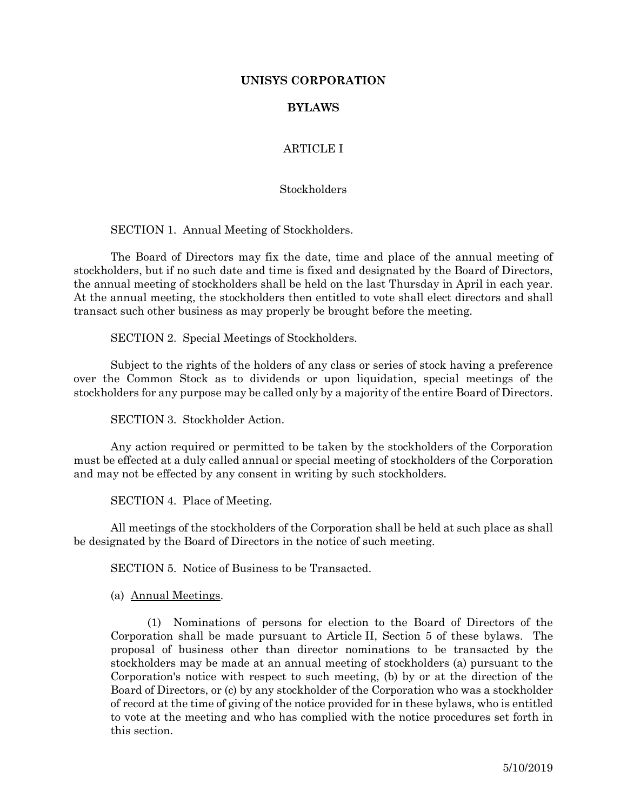### **UNISYS CORPORATION**

### **BYLAWS**

# ARTICLE I

#### **Stockholders**

SECTION 1. Annual Meeting of Stockholders.

The Board of Directors may fix the date, time and place of the annual meeting of stockholders, but if no such date and time is fixed and designated by the Board of Directors, the annual meeting of stockholders shall be held on the last Thursday in April in each year. At the annual meeting, the stockholders then entitled to vote shall elect directors and shall transact such other business as may properly be brought before the meeting.

SECTION 2. Special Meetings of Stockholders.

Subject to the rights of the holders of any class or series of stock having a preference over the Common Stock as to dividends or upon liquidation, special meetings of the stockholders for any purpose may be called only by a majority of the entire Board of Directors.

SECTION 3. Stockholder Action.

Any action required or permitted to be taken by the stockholders of the Corporation must be effected at a duly called annual or special meeting of stockholders of the Corporation and may not be effected by any consent in writing by such stockholders.

SECTION 4. Place of Meeting.

All meetings of the stockholders of the Corporation shall be held at such place as shall be designated by the Board of Directors in the notice of such meeting.

SECTION 5. Notice of Business to be Transacted.

(a) Annual Meetings.

(1) Nominations of persons for election to the Board of Directors of the Corporation shall be made pursuant to Article II, Section 5 of these bylaws. The proposal of business other than director nominations to be transacted by the stockholders may be made at an annual meeting of stockholders (a) pursuant to the Corporation's notice with respect to such meeting, (b) by or at the direction of the Board of Directors, or (c) by any stockholder of the Corporation who was a stockholder of record at the time of giving of the notice provided for in these bylaws, who is entitled to vote at the meeting and who has complied with the notice procedures set forth in this section.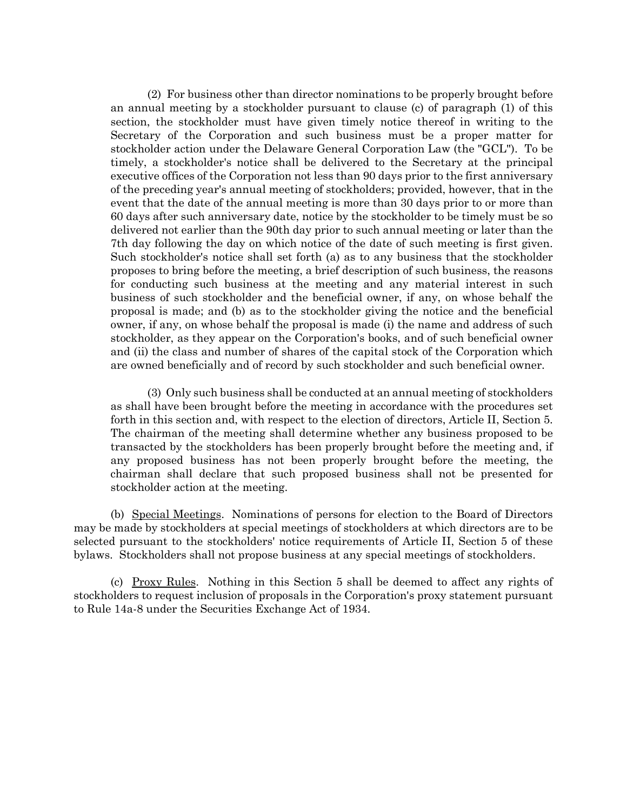(2) For business other than director nominations to be properly brought before an annual meeting by a stockholder pursuant to clause (c) of paragraph (1) of this section, the stockholder must have given timely notice thereof in writing to the Secretary of the Corporation and such business must be a proper matter for stockholder action under the Delaware General Corporation Law (the "GCL"). To be timely, a stockholder's notice shall be delivered to the Secretary at the principal executive offices of the Corporation not less than 90 days prior to the first anniversary of the preceding year's annual meeting of stockholders; provided, however, that in the event that the date of the annual meeting is more than 30 days prior to or more than 60 days after such anniversary date, notice by the stockholder to be timely must be so delivered not earlier than the 90th day prior to such annual meeting or later than the 7th day following the day on which notice of the date of such meeting is first given. Such stockholder's notice shall set forth (a) as to any business that the stockholder proposes to bring before the meeting, a brief description of such business, the reasons for conducting such business at the meeting and any material interest in such business of such stockholder and the beneficial owner, if any, on whose behalf the proposal is made; and (b) as to the stockholder giving the notice and the beneficial owner, if any, on whose behalf the proposal is made (i) the name and address of such stockholder, as they appear on the Corporation's books, and of such beneficial owner and (ii) the class and number of shares of the capital stock of the Corporation which are owned beneficially and of record by such stockholder and such beneficial owner.

(3) Only such business shall be conducted at an annual meeting of stockholders as shall have been brought before the meeting in accordance with the procedures set forth in this section and, with respect to the election of directors, Article II, Section 5. The chairman of the meeting shall determine whether any business proposed to be transacted by the stockholders has been properly brought before the meeting and, if any proposed business has not been properly brought before the meeting, the chairman shall declare that such proposed business shall not be presented for stockholder action at the meeting.

(b) Special Meetings. Nominations of persons for election to the Board of Directors may be made by stockholders at special meetings of stockholders at which directors are to be selected pursuant to the stockholders' notice requirements of Article II, Section 5 of these bylaws. Stockholders shall not propose business at any special meetings of stockholders.

(c) Proxy Rules. Nothing in this Section 5 shall be deemed to affect any rights of stockholders to request inclusion of proposals in the Corporation's proxy statement pursuant to Rule 14a-8 under the Securities Exchange Act of 1934.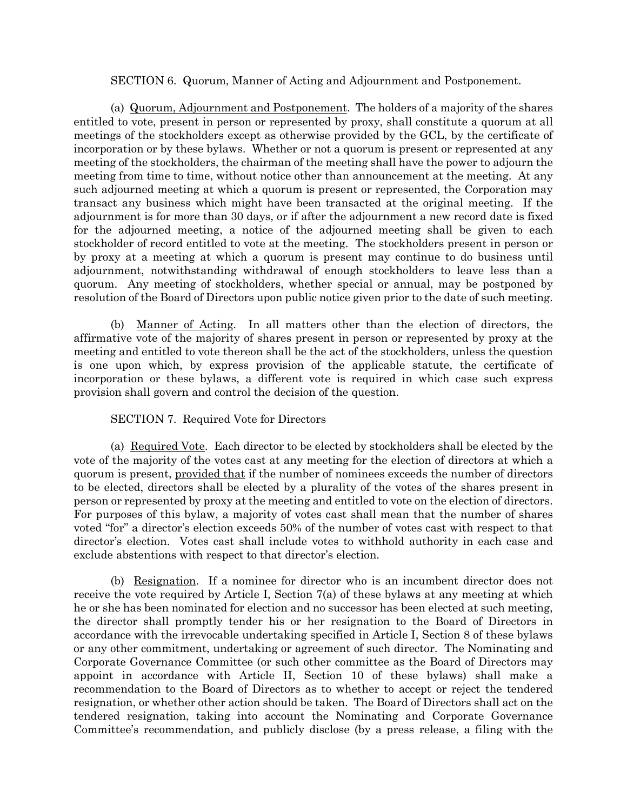### SECTION 6. Quorum, Manner of Acting and Adjournment and Postponement.

(a) Quorum, Adjournment and Postponement. The holders of a majority of the shares entitled to vote, present in person or represented by proxy, shall constitute a quorum at all meetings of the stockholders except as otherwise provided by the GCL, by the certificate of incorporation or by these bylaws. Whether or not a quorum is present or represented at any meeting of the stockholders, the chairman of the meeting shall have the power to adjourn the meeting from time to time, without notice other than announcement at the meeting. At any such adjourned meeting at which a quorum is present or represented, the Corporation may transact any business which might have been transacted at the original meeting. If the adjournment is for more than 30 days, or if after the adjournment a new record date is fixed for the adjourned meeting, a notice of the adjourned meeting shall be given to each stockholder of record entitled to vote at the meeting. The stockholders present in person or by proxy at a meeting at which a quorum is present may continue to do business until adjournment, notwithstanding withdrawal of enough stockholders to leave less than a quorum. Any meeting of stockholders, whether special or annual, may be postponed by resolution of the Board of Directors upon public notice given prior to the date of such meeting.

(b) Manner of Acting. In all matters other than the election of directors, the affirmative vote of the majority of shares present in person or represented by proxy at the meeting and entitled to vote thereon shall be the act of the stockholders, unless the question is one upon which, by express provision of the applicable statute, the certificate of incorporation or these bylaws, a different vote is required in which case such express provision shall govern and control the decision of the question.

### SECTION 7. Required Vote for Directors

(a) Required Vote. Each director to be elected by stockholders shall be elected by the vote of the majority of the votes cast at any meeting for the election of directors at which a quorum is present, provided that if the number of nominees exceeds the number of directors to be elected, directors shall be elected by a plurality of the votes of the shares present in person or represented by proxy at the meeting and entitled to vote on the election of directors. For purposes of this bylaw, a majority of votes cast shall mean that the number of shares voted "for" a director's election exceeds 50% of the number of votes cast with respect to that director's election. Votes cast shall include votes to withhold authority in each case and exclude abstentions with respect to that director's election.

(b) Resignation. If a nominee for director who is an incumbent director does not receive the vote required by Article I, Section 7(a) of these bylaws at any meeting at which he or she has been nominated for election and no successor has been elected at such meeting, the director shall promptly tender his or her resignation to the Board of Directors in accordance with the irrevocable undertaking specified in Article I, Section 8 of these bylaws or any other commitment, undertaking or agreement of such director. The Nominating and Corporate Governance Committee (or such other committee as the Board of Directors may appoint in accordance with Article II, Section 10 of these bylaws) shall make a recommendation to the Board of Directors as to whether to accept or reject the tendered resignation, or whether other action should be taken. The Board of Directors shall act on the tendered resignation, taking into account the Nominating and Corporate Governance Committee's recommendation, and publicly disclose (by a press release, a filing with the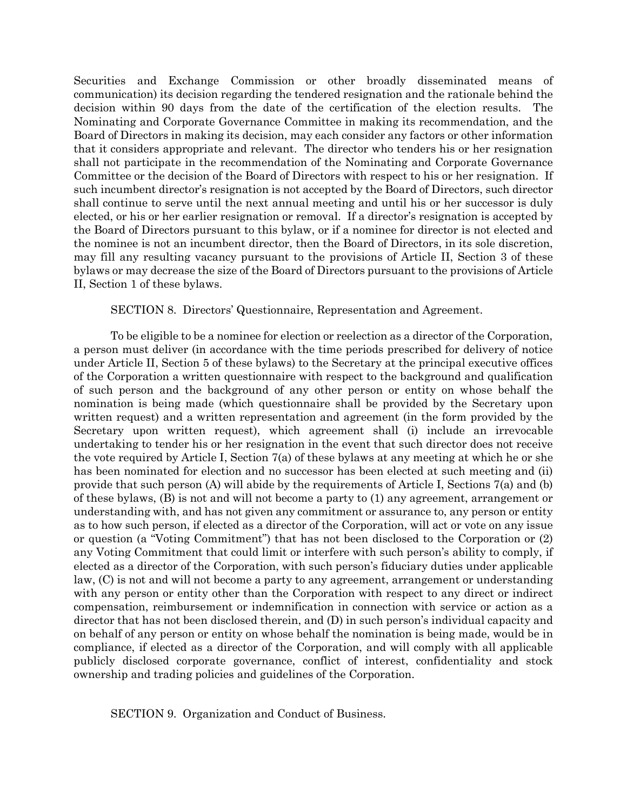Securities and Exchange Commission or other broadly disseminated means of communication) its decision regarding the tendered resignation and the rationale behind the decision within 90 days from the date of the certification of the election results. The Nominating and Corporate Governance Committee in making its recommendation, and the Board of Directors in making its decision, may each consider any factors or other information that it considers appropriate and relevant. The director who tenders his or her resignation shall not participate in the recommendation of the Nominating and Corporate Governance Committee or the decision of the Board of Directors with respect to his or her resignation. If such incumbent director's resignation is not accepted by the Board of Directors, such director shall continue to serve until the next annual meeting and until his or her successor is duly elected, or his or her earlier resignation or removal. If a director's resignation is accepted by the Board of Directors pursuant to this bylaw, or if a nominee for director is not elected and the nominee is not an incumbent director, then the Board of Directors, in its sole discretion, may fill any resulting vacancy pursuant to the provisions of Article II, Section 3 of these bylaws or may decrease the size of the Board of Directors pursuant to the provisions of Article II, Section 1 of these bylaws.

#### SECTION 8. Directors' Questionnaire, Representation and Agreement.

To be eligible to be a nominee for election or reelection as a director of the Corporation, a person must deliver (in accordance with the time periods prescribed for delivery of notice under Article II, Section 5 of these bylaws) to the Secretary at the principal executive offices of the Corporation a written questionnaire with respect to the background and qualification of such person and the background of any other person or entity on whose behalf the nomination is being made (which questionnaire shall be provided by the Secretary upon written request) and a written representation and agreement (in the form provided by the Secretary upon written request), which agreement shall (i) include an irrevocable undertaking to tender his or her resignation in the event that such director does not receive the vote required by Article I, Section 7(a) of these bylaws at any meeting at which he or she has been nominated for election and no successor has been elected at such meeting and (ii) provide that such person (A) will abide by the requirements of Article I, Sections 7(a) and (b) of these bylaws, (B) is not and will not become a party to (1) any agreement, arrangement or understanding with, and has not given any commitment or assurance to, any person or entity as to how such person, if elected as a director of the Corporation, will act or vote on any issue or question (a "Voting Commitment") that has not been disclosed to the Corporation or (2) any Voting Commitment that could limit or interfere with such person's ability to comply, if elected as a director of the Corporation, with such person's fiduciary duties under applicable law, (C) is not and will not become a party to any agreement, arrangement or understanding with any person or entity other than the Corporation with respect to any direct or indirect compensation, reimbursement or indemnification in connection with service or action as a director that has not been disclosed therein, and (D) in such person's individual capacity and on behalf of any person or entity on whose behalf the nomination is being made, would be in compliance, if elected as a director of the Corporation, and will comply with all applicable publicly disclosed corporate governance, conflict of interest, confidentiality and stock ownership and trading policies and guidelines of the Corporation.

SECTION 9. Organization and Conduct of Business.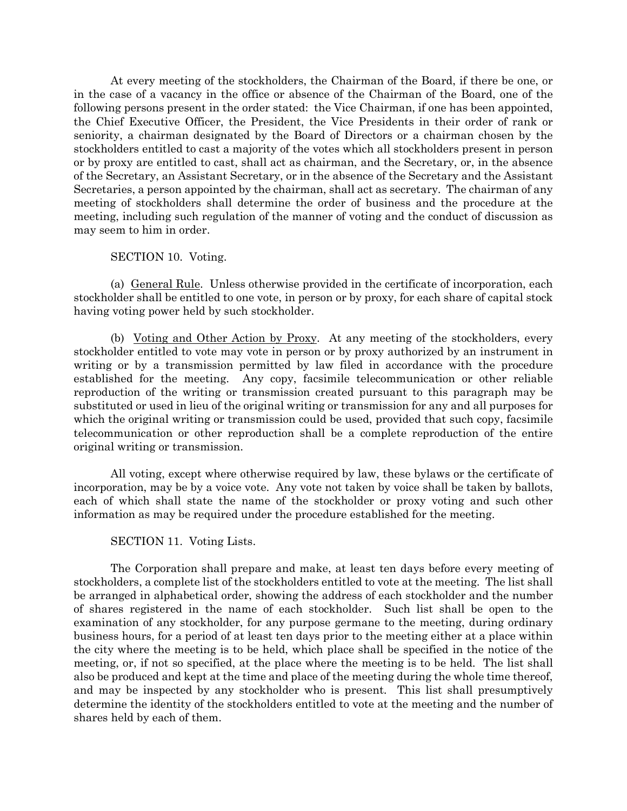At every meeting of the stockholders, the Chairman of the Board, if there be one, or in the case of a vacancy in the office or absence of the Chairman of the Board, one of the following persons present in the order stated: the Vice Chairman, if one has been appointed, the Chief Executive Officer, the President, the Vice Presidents in their order of rank or seniority, a chairman designated by the Board of Directors or a chairman chosen by the stockholders entitled to cast a majority of the votes which all stockholders present in person or by proxy are entitled to cast, shall act as chairman, and the Secretary, or, in the absence of the Secretary, an Assistant Secretary, or in the absence of the Secretary and the Assistant Secretaries, a person appointed by the chairman, shall act as secretary. The chairman of any meeting of stockholders shall determine the order of business and the procedure at the meeting, including such regulation of the manner of voting and the conduct of discussion as may seem to him in order.

### SECTION 10. Voting.

(a) General Rule. Unless otherwise provided in the certificate of incorporation, each stockholder shall be entitled to one vote, in person or by proxy, for each share of capital stock having voting power held by such stockholder.

(b) Voting and Other Action by Proxy. At any meeting of the stockholders, every stockholder entitled to vote may vote in person or by proxy authorized by an instrument in writing or by a transmission permitted by law filed in accordance with the procedure established for the meeting. Any copy, facsimile telecommunication or other reliable reproduction of the writing or transmission created pursuant to this paragraph may be substituted or used in lieu of the original writing or transmission for any and all purposes for which the original writing or transmission could be used, provided that such copy, facsimile telecommunication or other reproduction shall be a complete reproduction of the entire original writing or transmission.

All voting, except where otherwise required by law, these bylaws or the certificate of incorporation, may be by a voice vote. Any vote not taken by voice shall be taken by ballots, each of which shall state the name of the stockholder or proxy voting and such other information as may be required under the procedure established for the meeting.

SECTION 11. Voting Lists.

The Corporation shall prepare and make, at least ten days before every meeting of stockholders, a complete list of the stockholders entitled to vote at the meeting. The list shall be arranged in alphabetical order, showing the address of each stockholder and the number of shares registered in the name of each stockholder. Such list shall be open to the examination of any stockholder, for any purpose germane to the meeting, during ordinary business hours, for a period of at least ten days prior to the meeting either at a place within the city where the meeting is to be held, which place shall be specified in the notice of the meeting, or, if not so specified, at the place where the meeting is to be held. The list shall also be produced and kept at the time and place of the meeting during the whole time thereof, and may be inspected by any stockholder who is present. This list shall presumptively determine the identity of the stockholders entitled to vote at the meeting and the number of shares held by each of them.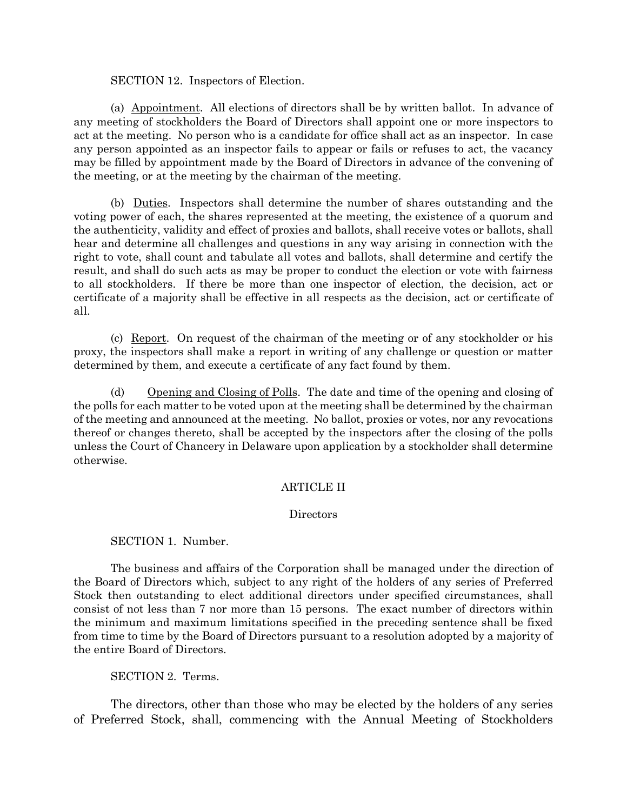### SECTION 12. Inspectors of Election.

(a) Appointment. All elections of directors shall be by written ballot. In advance of any meeting of stockholders the Board of Directors shall appoint one or more inspectors to act at the meeting. No person who is a candidate for office shall act as an inspector. In case any person appointed as an inspector fails to appear or fails or refuses to act, the vacancy may be filled by appointment made by the Board of Directors in advance of the convening of the meeting, or at the meeting by the chairman of the meeting.

(b) Duties. Inspectors shall determine the number of shares outstanding and the voting power of each, the shares represented at the meeting, the existence of a quorum and the authenticity, validity and effect of proxies and ballots, shall receive votes or ballots, shall hear and determine all challenges and questions in any way arising in connection with the right to vote, shall count and tabulate all votes and ballots, shall determine and certify the result, and shall do such acts as may be proper to conduct the election or vote with fairness to all stockholders. If there be more than one inspector of election, the decision, act or certificate of a majority shall be effective in all respects as the decision, act or certificate of all.

(c) Report. On request of the chairman of the meeting or of any stockholder or his proxy, the inspectors shall make a report in writing of any challenge or question or matter determined by them, and execute a certificate of any fact found by them.

(d) Opening and Closing of Polls. The date and time of the opening and closing of the polls for each matter to be voted upon at the meeting shall be determined by the chairman of the meeting and announced at the meeting. No ballot, proxies or votes, nor any revocations thereof or changes thereto, shall be accepted by the inspectors after the closing of the polls unless the Court of Chancery in Delaware upon application by a stockholder shall determine otherwise.

### ARTICLE II

### **Directors**

# SECTION 1. Number.

The business and affairs of the Corporation shall be managed under the direction of the Board of Directors which, subject to any right of the holders of any series of Preferred Stock then outstanding to elect additional directors under specified circumstances, shall consist of not less than 7 nor more than 15 persons. The exact number of directors within the minimum and maximum limitations specified in the preceding sentence shall be fixed from time to time by the Board of Directors pursuant to a resolution adopted by a majority of the entire Board of Directors.

# SECTION 2. Terms.

The directors, other than those who may be elected by the holders of any series of Preferred Stock, shall, commencing with the Annual Meeting of Stockholders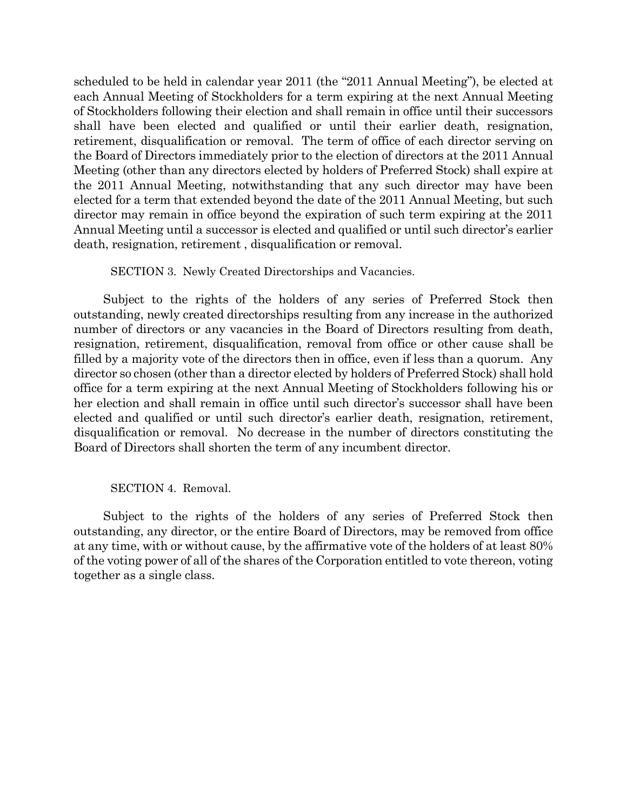scheduled to be held in calendar year 2011 (the "2011 Annual Meeting"), be elected at each Annual Meeting of Stockholders for a term expiring at the next Annual Meeting of Stockholders following their election and shall remain in office until their successors shall have been elected and qualified or until their earlier death, resignation, retirement, disqualification or removal. The term of office of each director serving on the Board of Directors immediately prior to the election of directors at the 2011 Annual Meeting (other than any directors elected by holders of Preferred Stock) shall expire at the 2011 Annual Meeting, notwithstanding that any such director may have been elected for a term that extended beyond the date of the 2011 Annual Meeting, but such director may remain in office beyond the expiration of such term expiring at the 2011 Annual Meeting until a successor is elected and qualified or until such director's earlier death, resignation, retirement , disqualification or removal.

SECTION 3. Newly Created Directorships and Vacancies.

Subject to the rights of the holders of any series of Preferred Stock then outstanding, newly created directorships resulting from any increase in the authorized number of directors or any vacancies in the Board of Directors resulting from death, resignation, retirement, disqualification, removal from office or other cause shall be filled by a majority vote of the directors then in office, even if less than a quorum. Any director so chosen (other than a director elected by holders of Preferred Stock) shall hold office for a term expiring at the next Annual Meeting of Stockholders following his or her election and shall remain in office until such director's successor shall have been elected and qualified or until such director's earlier death, resignation, retirement, disqualification or removal. No decrease in the number of directors constituting the Board of Directors shall shorten the term of any incumbent director.

### SECTION 4. Removal.

Subject to the rights of the holders of any series of Preferred Stock then outstanding, any director, or the entire Board of Directors, may be removed from office at any time, with or without cause, by the affirmative vote of the holders of at least 80% of the voting power of all of the shares of the Corporation entitled to vote thereon, voting together as a single class.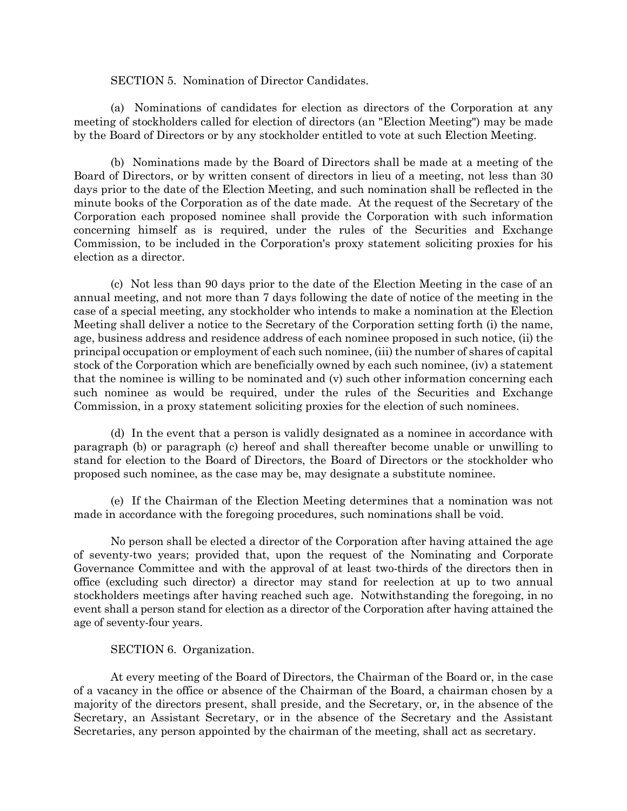#### SECTION 5. Nomination of Director Candidates.

(a) Nominations of candidates for election as directors of the Corporation at any meeting of stockholders called for election of directors (an "Election Meeting") may be made by the Board of Directors or by any stockholder entitled to vote at such Election Meeting.

(b) Nominations made by the Board of Directors shall be made at a meeting of the Board of Directors, or by written consent of directors in lieu of a meeting, not less than 30 days prior to the date of the Election Meeting, and such nomination shall be reflected in the minute books of the Corporation as of the date made. At the request of the Secretary of the Corporation each proposed nominee shall provide the Corporation with such information concerning himself as is required, under the rules of the Securities and Exchange Commission, to be included in the Corporation's proxy statement soliciting proxies for his election as a director.

(c) Not less than 90 days prior to the date of the Election Meeting in the case of an annual meeting, and not more than 7 days following the date of notice of the meeting in the case of a special meeting, any stockholder who intends to make a nomination at the Election Meeting shall deliver a notice to the Secretary of the Corporation setting forth (i) the name, age, business address and residence address of each nominee proposed in such notice, (ii) the principal occupation or employment of each such nominee, (iii) the number of shares of capital stock of the Corporation which are beneficially owned by each such nominee, (iv) a statement that the nominee is willing to be nominated and (v) such other information concerning each such nominee as would be required, under the rules of the Securities and Exchange Commission, in a proxy statement soliciting proxies for the election of such nominees.

(d) In the event that a person is validly designated as a nominee in accordance with paragraph (b) or paragraph (c) hereof and shall thereafter become unable or unwilling to stand for election to the Board of Directors, the Board of Directors or the stockholder who proposed such nominee, as the case may be, may designate a substitute nominee.

(e) If the Chairman of the Election Meeting determines that a nomination was not made in accordance with the foregoing procedures, such nominations shall be void.

No person shall be elected a director of the Corporation after having attained the age of seventy-two years; provided that, upon the request of the Nominating and Corporate Governance Committee and with the approval of at least two-thirds of the directors then in office (excluding such director) a director may stand for reelection at up to two annual stockholders meetings after having reached such age. Notwithstanding the foregoing, in no event shall a person stand for election as a director of the Corporation after having attained the age of seventy-four years.

### SECTION 6. Organization.

At every meeting of the Board of Directors, the Chairman of the Board or, in the case of a vacancy in the office or absence of the Chairman of the Board, a chairman chosen by a majority of the directors present, shall preside, and the Secretary, or, in the absence of the Secretary, an Assistant Secretary, or in the absence of the Secretary and the Assistant Secretaries, any person appointed by the chairman of the meeting, shall act as secretary.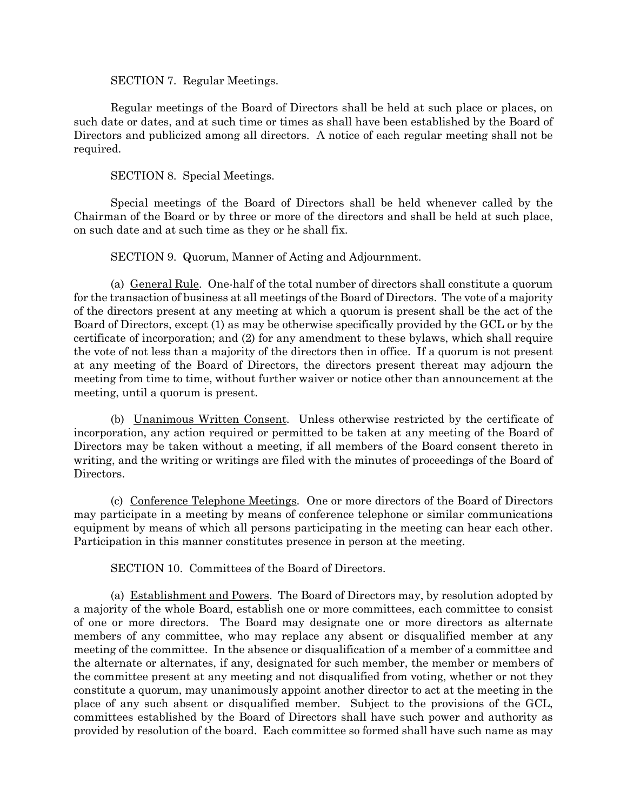SECTION 7. Regular Meetings.

Regular meetings of the Board of Directors shall be held at such place or places, on such date or dates, and at such time or times as shall have been established by the Board of Directors and publicized among all directors. A notice of each regular meeting shall not be required.

SECTION 8. Special Meetings.

Special meetings of the Board of Directors shall be held whenever called by the Chairman of the Board or by three or more of the directors and shall be held at such place, on such date and at such time as they or he shall fix.

SECTION 9. Quorum, Manner of Acting and Adjournment.

(a) General Rule. One-half of the total number of directors shall constitute a quorum for the transaction of business at all meetings of the Board of Directors. The vote of a majority of the directors present at any meeting at which a quorum is present shall be the act of the Board of Directors, except (1) as may be otherwise specifically provided by the GCL or by the certificate of incorporation; and (2) for any amendment to these bylaws, which shall require the vote of not less than a majority of the directors then in office. If a quorum is not present at any meeting of the Board of Directors, the directors present thereat may adjourn the meeting from time to time, without further waiver or notice other than announcement at the meeting, until a quorum is present.

(b) Unanimous Written Consent. Unless otherwise restricted by the certificate of incorporation, any action required or permitted to be taken at any meeting of the Board of Directors may be taken without a meeting, if all members of the Board consent thereto in writing, and the writing or writings are filed with the minutes of proceedings of the Board of Directors.

(c) Conference Telephone Meetings. One or more directors of the Board of Directors may participate in a meeting by means of conference telephone or similar communications equipment by means of which all persons participating in the meeting can hear each other. Participation in this manner constitutes presence in person at the meeting.

SECTION 10. Committees of the Board of Directors.

(a) Establishment and Powers. The Board of Directors may, by resolution adopted by a majority of the whole Board, establish one or more committees, each committee to consist of one or more directors. The Board may designate one or more directors as alternate members of any committee, who may replace any absent or disqualified member at any meeting of the committee. In the absence or disqualification of a member of a committee and the alternate or alternates, if any, designated for such member, the member or members of the committee present at any meeting and not disqualified from voting, whether or not they constitute a quorum, may unanimously appoint another director to act at the meeting in the place of any such absent or disqualified member. Subject to the provisions of the GCL, committees established by the Board of Directors shall have such power and authority as provided by resolution of the board. Each committee so formed shall have such name as may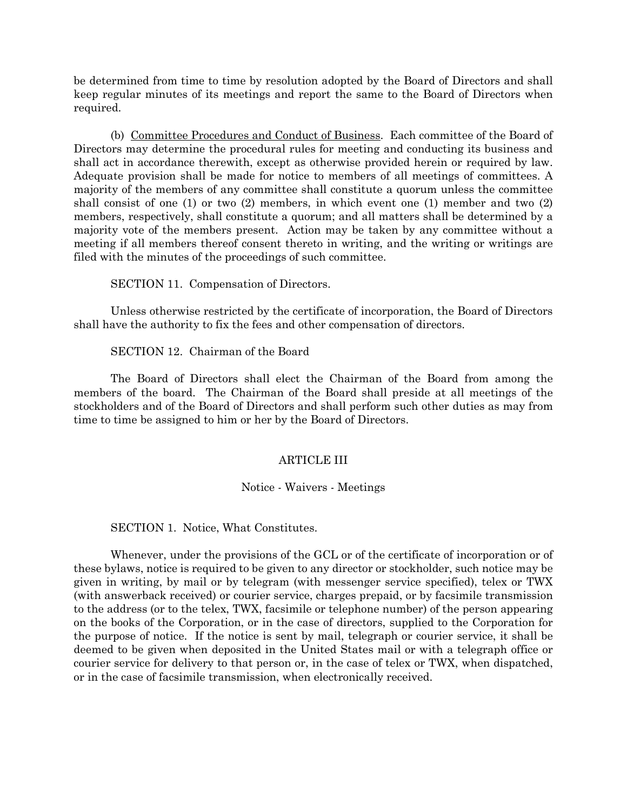be determined from time to time by resolution adopted by the Board of Directors and shall keep regular minutes of its meetings and report the same to the Board of Directors when required.

(b) Committee Procedures and Conduct of Business. Each committee of the Board of Directors may determine the procedural rules for meeting and conducting its business and shall act in accordance therewith, except as otherwise provided herein or required by law. Adequate provision shall be made for notice to members of all meetings of committees. A majority of the members of any committee shall constitute a quorum unless the committee shall consist of one (1) or two (2) members, in which event one (1) member and two (2) members, respectively, shall constitute a quorum; and all matters shall be determined by a majority vote of the members present. Action may be taken by any committee without a meeting if all members thereof consent thereto in writing, and the writing or writings are filed with the minutes of the proceedings of such committee.

SECTION 11. Compensation of Directors.

Unless otherwise restricted by the certificate of incorporation, the Board of Directors shall have the authority to fix the fees and other compensation of directors.

SECTION 12. Chairman of the Board

The Board of Directors shall elect the Chairman of the Board from among the members of the board. The Chairman of the Board shall preside at all meetings of the stockholders and of the Board of Directors and shall perform such other duties as may from time to time be assigned to him or her by the Board of Directors.

#### ARTICLE III

#### Notice - Waivers - Meetings

SECTION 1. Notice, What Constitutes.

Whenever, under the provisions of the GCL or of the certificate of incorporation or of these bylaws, notice is required to be given to any director or stockholder, such notice may be given in writing, by mail or by telegram (with messenger service specified), telex or TWX (with answerback received) or courier service, charges prepaid, or by facsimile transmission to the address (or to the telex, TWX, facsimile or telephone number) of the person appearing on the books of the Corporation, or in the case of directors, supplied to the Corporation for the purpose of notice. If the notice is sent by mail, telegraph or courier service, it shall be deemed to be given when deposited in the United States mail or with a telegraph office or courier service for delivery to that person or, in the case of telex or TWX, when dispatched, or in the case of facsimile transmission, when electronically received.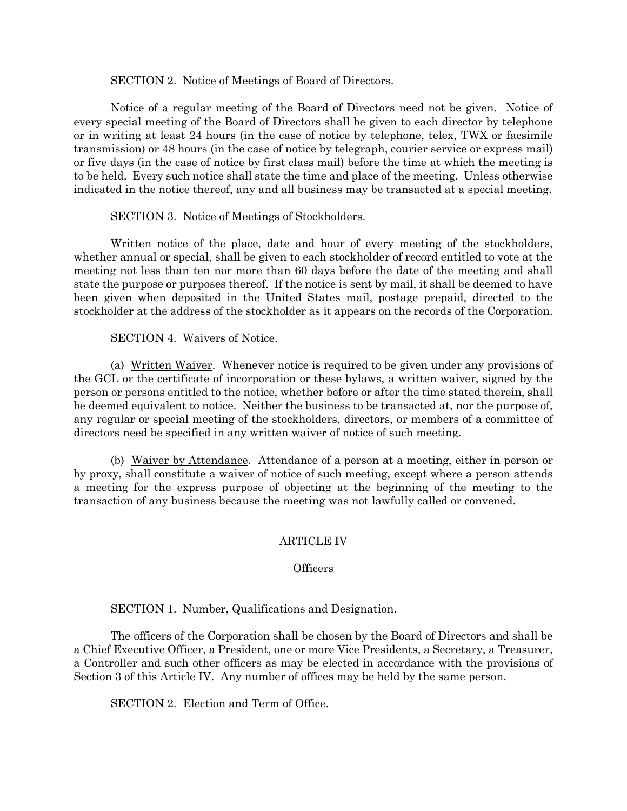SECTION 2. Notice of Meetings of Board of Directors.

Notice of a regular meeting of the Board of Directors need not be given. Notice of every special meeting of the Board of Directors shall be given to each director by telephone or in writing at least 24 hours (in the case of notice by telephone, telex, TWX or facsimile transmission) or 48 hours (in the case of notice by telegraph, courier service or express mail) or five days (in the case of notice by first class mail) before the time at which the meeting is to be held. Every such notice shall state the time and place of the meeting. Unless otherwise indicated in the notice thereof, any and all business may be transacted at a special meeting.

SECTION 3. Notice of Meetings of Stockholders.

Written notice of the place, date and hour of every meeting of the stockholders, whether annual or special, shall be given to each stockholder of record entitled to vote at the meeting not less than ten nor more than 60 days before the date of the meeting and shall state the purpose or purposes thereof. If the notice is sent by mail, it shall be deemed to have been given when deposited in the United States mail, postage prepaid, directed to the stockholder at the address of the stockholder as it appears on the records of the Corporation.

SECTION 4. Waivers of Notice.

(a) Written Waiver. Whenever notice is required to be given under any provisions of the GCL or the certificate of incorporation or these bylaws, a written waiver, signed by the person or persons entitled to the notice, whether before or after the time stated therein, shall be deemed equivalent to notice. Neither the business to be transacted at, nor the purpose of, any regular or special meeting of the stockholders, directors, or members of a committee of directors need be specified in any written waiver of notice of such meeting.

(b) Waiver by Attendance. Attendance of a person at a meeting, either in person or by proxy, shall constitute a waiver of notice of such meeting, except where a person attends a meeting for the express purpose of objecting at the beginning of the meeting to the transaction of any business because the meeting was not lawfully called or convened.

### ARTICLE IV

### **Officers**

SECTION 1. Number, Qualifications and Designation.

The officers of the Corporation shall be chosen by the Board of Directors and shall be a Chief Executive Officer, a President, one or more Vice Presidents, a Secretary, a Treasurer, a Controller and such other officers as may be elected in accordance with the provisions of Section 3 of this Article IV. Any number of offices may be held by the same person.

SECTION 2. Election and Term of Office.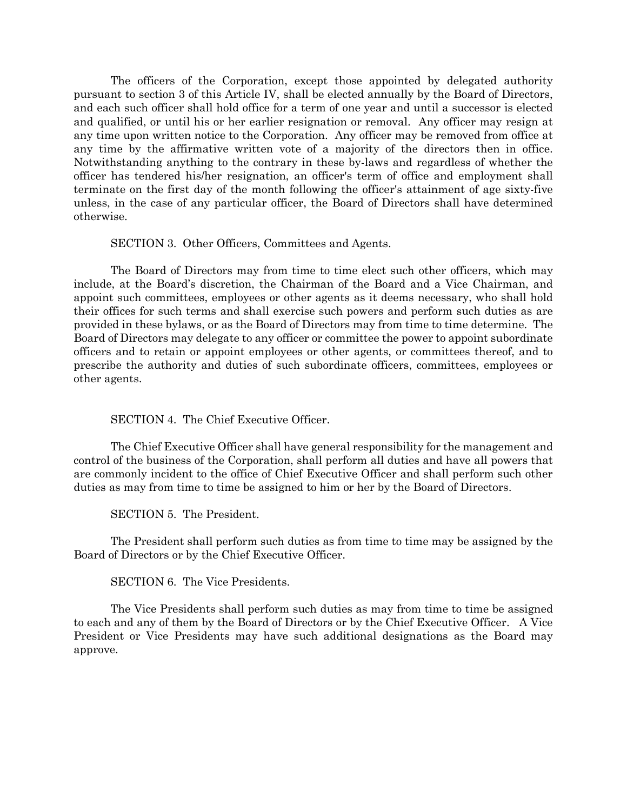The officers of the Corporation, except those appointed by delegated authority pursuant to section 3 of this Article IV, shall be elected annually by the Board of Directors, and each such officer shall hold office for a term of one year and until a successor is elected and qualified, or until his or her earlier resignation or removal. Any officer may resign at any time upon written notice to the Corporation. Any officer may be removed from office at any time by the affirmative written vote of a majority of the directors then in office. Notwithstanding anything to the contrary in these by-laws and regardless of whether the officer has tendered his/her resignation, an officer's term of office and employment shall terminate on the first day of the month following the officer's attainment of age sixty-five unless, in the case of any particular officer, the Board of Directors shall have determined otherwise.

SECTION 3. Other Officers, Committees and Agents.

The Board of Directors may from time to time elect such other officers, which may include, at the Board's discretion, the Chairman of the Board and a Vice Chairman, and appoint such committees, employees or other agents as it deems necessary, who shall hold their offices for such terms and shall exercise such powers and perform such duties as are provided in these bylaws, or as the Board of Directors may from time to time determine. The Board of Directors may delegate to any officer or committee the power to appoint subordinate officers and to retain or appoint employees or other agents, or committees thereof, and to prescribe the authority and duties of such subordinate officers, committees, employees or other agents.

SECTION 4. The Chief Executive Officer.

The Chief Executive Officer shall have general responsibility for the management and control of the business of the Corporation, shall perform all duties and have all powers that are commonly incident to the office of Chief Executive Officer and shall perform such other duties as may from time to time be assigned to him or her by the Board of Directors.

SECTION 5. The President.

The President shall perform such duties as from time to time may be assigned by the Board of Directors or by the Chief Executive Officer.

SECTION 6. The Vice Presidents.

The Vice Presidents shall perform such duties as may from time to time be assigned to each and any of them by the Board of Directors or by the Chief Executive Officer. A Vice President or Vice Presidents may have such additional designations as the Board may approve.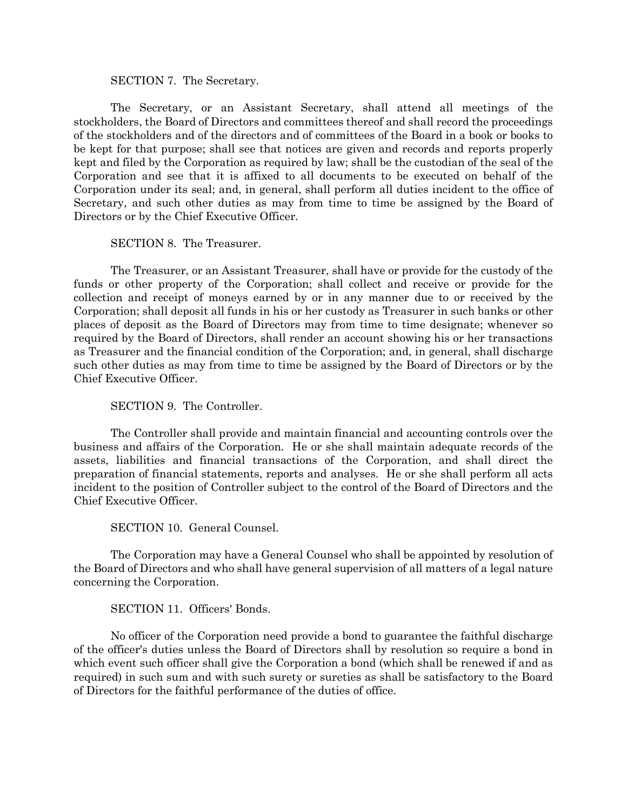#### SECTION 7. The Secretary.

The Secretary, or an Assistant Secretary, shall attend all meetings of the stockholders, the Board of Directors and committees thereof and shall record the proceedings of the stockholders and of the directors and of committees of the Board in a book or books to be kept for that purpose; shall see that notices are given and records and reports properly kept and filed by the Corporation as required by law; shall be the custodian of the seal of the Corporation and see that it is affixed to all documents to be executed on behalf of the Corporation under its seal; and, in general, shall perform all duties incident to the office of Secretary, and such other duties as may from time to time be assigned by the Board of Directors or by the Chief Executive Officer.

SECTION 8. The Treasurer.

The Treasurer, or an Assistant Treasurer, shall have or provide for the custody of the funds or other property of the Corporation; shall collect and receive or provide for the collection and receipt of moneys earned by or in any manner due to or received by the Corporation; shall deposit all funds in his or her custody as Treasurer in such banks or other places of deposit as the Board of Directors may from time to time designate; whenever so required by the Board of Directors, shall render an account showing his or her transactions as Treasurer and the financial condition of the Corporation; and, in general, shall discharge such other duties as may from time to time be assigned by the Board of Directors or by the Chief Executive Officer.

SECTION 9. The Controller.

The Controller shall provide and maintain financial and accounting controls over the business and affairs of the Corporation. He or she shall maintain adequate records of the assets, liabilities and financial transactions of the Corporation, and shall direct the preparation of financial statements, reports and analyses. He or she shall perform all acts incident to the position of Controller subject to the control of the Board of Directors and the Chief Executive Officer.

SECTION 10. General Counsel.

The Corporation may have a General Counsel who shall be appointed by resolution of the Board of Directors and who shall have general supervision of all matters of a legal nature concerning the Corporation.

SECTION 11. Officers' Bonds.

No officer of the Corporation need provide a bond to guarantee the faithful discharge of the officer's duties unless the Board of Directors shall by resolution so require a bond in which event such officer shall give the Corporation a bond (which shall be renewed if and as required) in such sum and with such surety or sureties as shall be satisfactory to the Board of Directors for the faithful performance of the duties of office.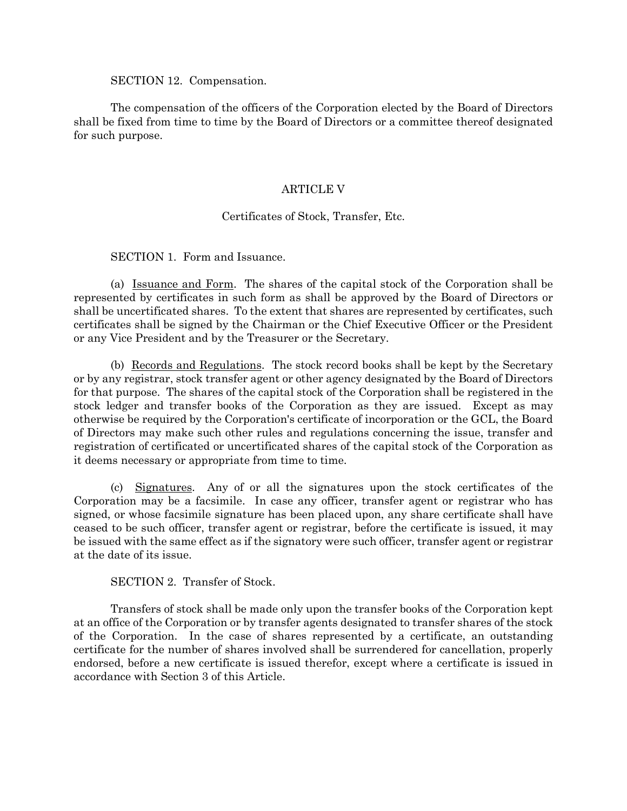#### SECTION 12. Compensation.

The compensation of the officers of the Corporation elected by the Board of Directors shall be fixed from time to time by the Board of Directors or a committee thereof designated for such purpose.

# ARTICLE V

# Certificates of Stock, Transfer, Etc.

SECTION 1. Form and Issuance.

(a) Issuance and Form. The shares of the capital stock of the Corporation shall be represented by certificates in such form as shall be approved by the Board of Directors or shall be uncertificated shares. To the extent that shares are represented by certificates, such certificates shall be signed by the Chairman or the Chief Executive Officer or the President or any Vice President and by the Treasurer or the Secretary.

(b) Records and Regulations. The stock record books shall be kept by the Secretary or by any registrar, stock transfer agent or other agency designated by the Board of Directors for that purpose. The shares of the capital stock of the Corporation shall be registered in the stock ledger and transfer books of the Corporation as they are issued. Except as may otherwise be required by the Corporation's certificate of incorporation or the GCL, the Board of Directors may make such other rules and regulations concerning the issue, transfer and registration of certificated or uncertificated shares of the capital stock of the Corporation as it deems necessary or appropriate from time to time.

(c) Signatures. Any of or all the signatures upon the stock certificates of the Corporation may be a facsimile. In case any officer, transfer agent or registrar who has signed, or whose facsimile signature has been placed upon, any share certificate shall have ceased to be such officer, transfer agent or registrar, before the certificate is issued, it may be issued with the same effect as if the signatory were such officer, transfer agent or registrar at the date of its issue.

SECTION 2. Transfer of Stock.

Transfers of stock shall be made only upon the transfer books of the Corporation kept at an office of the Corporation or by transfer agents designated to transfer shares of the stock of the Corporation. In the case of shares represented by a certificate, an outstanding certificate for the number of shares involved shall be surrendered for cancellation, properly endorsed, before a new certificate is issued therefor, except where a certificate is issued in accordance with Section 3 of this Article.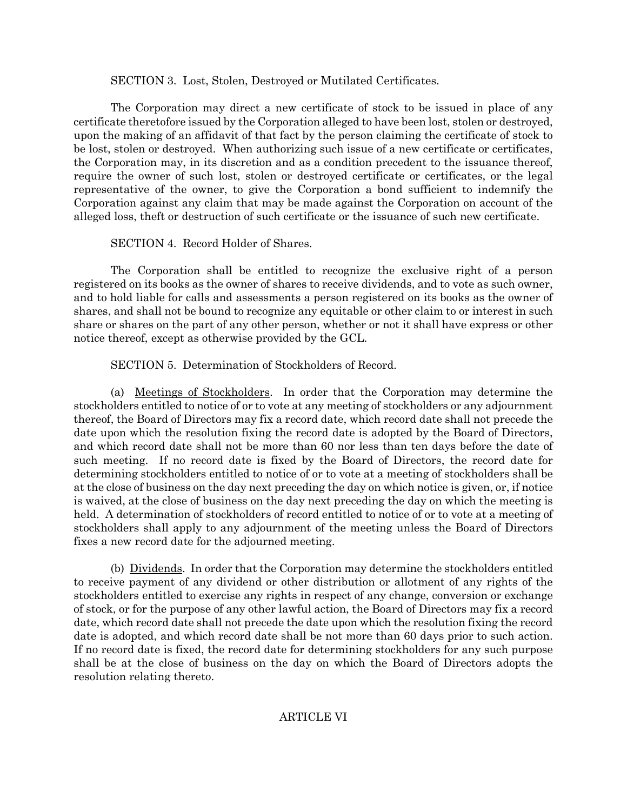SECTION 3. Lost, Stolen, Destroyed or Mutilated Certificates.

The Corporation may direct a new certificate of stock to be issued in place of any certificate theretofore issued by the Corporation alleged to have been lost, stolen or destroyed, upon the making of an affidavit of that fact by the person claiming the certificate of stock to be lost, stolen or destroyed. When authorizing such issue of a new certificate or certificates, the Corporation may, in its discretion and as a condition precedent to the issuance thereof, require the owner of such lost, stolen or destroyed certificate or certificates, or the legal representative of the owner, to give the Corporation a bond sufficient to indemnify the Corporation against any claim that may be made against the Corporation on account of the alleged loss, theft or destruction of such certificate or the issuance of such new certificate.

SECTION 4. Record Holder of Shares.

The Corporation shall be entitled to recognize the exclusive right of a person registered on its books as the owner of shares to receive dividends, and to vote as such owner, and to hold liable for calls and assessments a person registered on its books as the owner of shares, and shall not be bound to recognize any equitable or other claim to or interest in such share or shares on the part of any other person, whether or not it shall have express or other notice thereof, except as otherwise provided by the GCL.

SECTION 5. Determination of Stockholders of Record.

(a) Meetings of Stockholders. In order that the Corporation may determine the stockholders entitled to notice of or to vote at any meeting of stockholders or any adjournment thereof, the Board of Directors may fix a record date, which record date shall not precede the date upon which the resolution fixing the record date is adopted by the Board of Directors, and which record date shall not be more than 60 nor less than ten days before the date of such meeting. If no record date is fixed by the Board of Directors, the record date for determining stockholders entitled to notice of or to vote at a meeting of stockholders shall be at the close of business on the day next preceding the day on which notice is given, or, if notice is waived, at the close of business on the day next preceding the day on which the meeting is held. A determination of stockholders of record entitled to notice of or to vote at a meeting of stockholders shall apply to any adjournment of the meeting unless the Board of Directors fixes a new record date for the adjourned meeting.

(b) Dividends. In order that the Corporation may determine the stockholders entitled to receive payment of any dividend or other distribution or allotment of any rights of the stockholders entitled to exercise any rights in respect of any change, conversion or exchange of stock, or for the purpose of any other lawful action, the Board of Directors may fix a record date, which record date shall not precede the date upon which the resolution fixing the record date is adopted, and which record date shall be not more than 60 days prior to such action. If no record date is fixed, the record date for determining stockholders for any such purpose shall be at the close of business on the day on which the Board of Directors adopts the resolution relating thereto.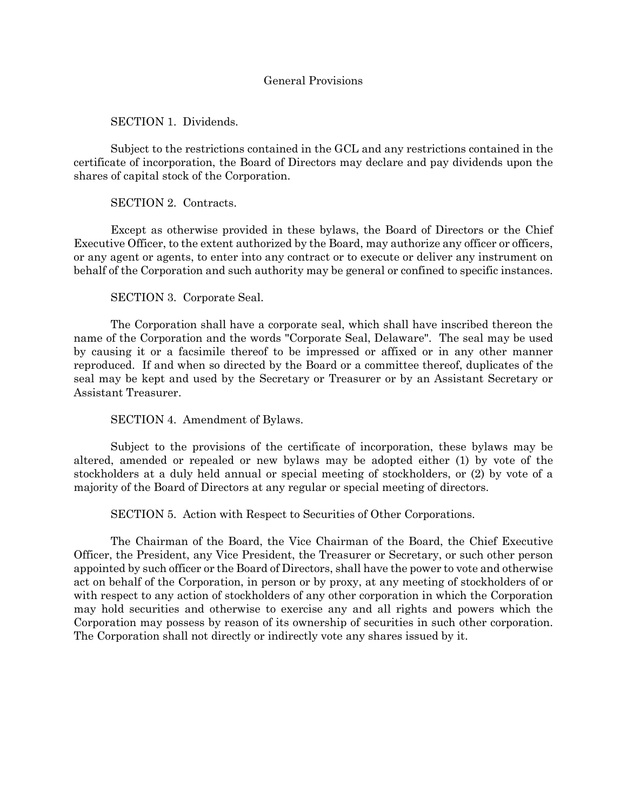SECTION 1. Dividends.

Subject to the restrictions contained in the GCL and any restrictions contained in the certificate of incorporation, the Board of Directors may declare and pay dividends upon the shares of capital stock of the Corporation.

# SECTION 2. Contracts.

Except as otherwise provided in these bylaws, the Board of Directors or the Chief Executive Officer, to the extent authorized by the Board, may authorize any officer or officers, or any agent or agents, to enter into any contract or to execute or deliver any instrument on behalf of the Corporation and such authority may be general or confined to specific instances.

# SECTION 3. Corporate Seal.

The Corporation shall have a corporate seal, which shall have inscribed thereon the name of the Corporation and the words "Corporate Seal, Delaware". The seal may be used by causing it or a facsimile thereof to be impressed or affixed or in any other manner reproduced. If and when so directed by the Board or a committee thereof, duplicates of the seal may be kept and used by the Secretary or Treasurer or by an Assistant Secretary or Assistant Treasurer.

### SECTION 4. Amendment of Bylaws.

Subject to the provisions of the certificate of incorporation, these bylaws may be altered, amended or repealed or new bylaws may be adopted either (1) by vote of the stockholders at a duly held annual or special meeting of stockholders, or (2) by vote of a majority of the Board of Directors at any regular or special meeting of directors.

SECTION 5. Action with Respect to Securities of Other Corporations.

The Chairman of the Board, the Vice Chairman of the Board, the Chief Executive Officer, the President, any Vice President, the Treasurer or Secretary, or such other person appointed by such officer or the Board of Directors, shall have the power to vote and otherwise act on behalf of the Corporation, in person or by proxy, at any meeting of stockholders of or with respect to any action of stockholders of any other corporation in which the Corporation may hold securities and otherwise to exercise any and all rights and powers which the Corporation may possess by reason of its ownership of securities in such other corporation. The Corporation shall not directly or indirectly vote any shares issued by it.